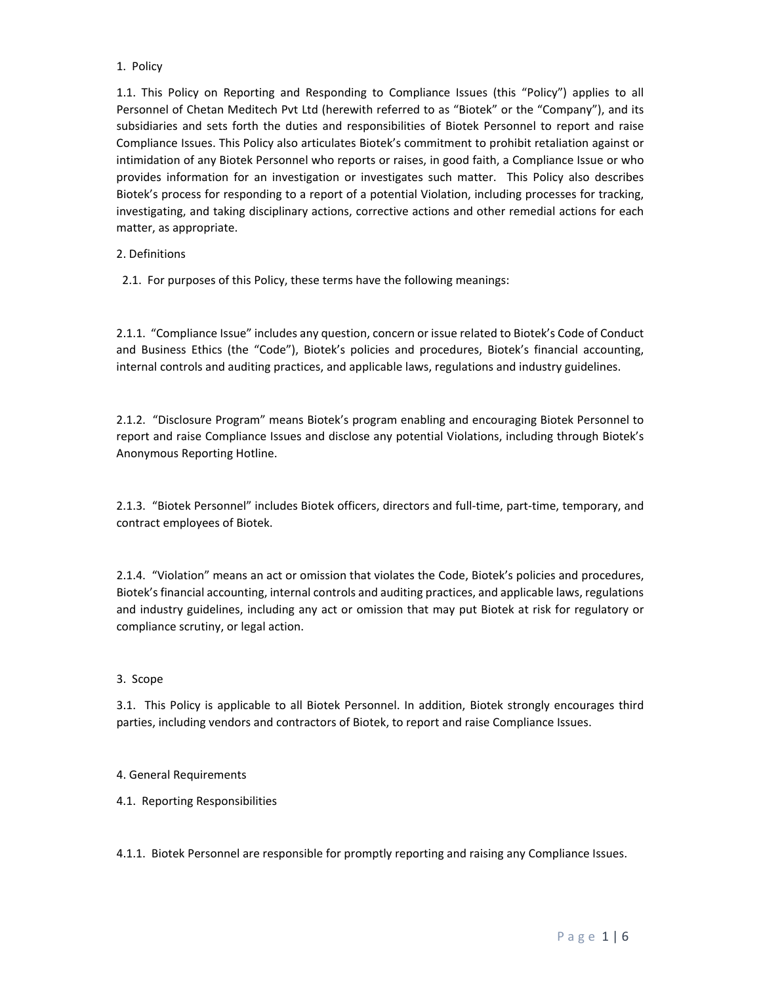## 1. Policy

1.1. This Policy on Reporting and Responding to Compliance Issues (this "Policy") applies to all Personnel of Chetan Meditech Pvt Ltd (herewith referred to as "Biotek" or the "Company"), and its subsidiaries and sets forth the duties and responsibilities of Biotek Personnel to report and raise Compliance Issues. This Policy also articulates Biotek's commitment to prohibit retaliation against or intimidation of any Biotek Personnel who reports or raises, in good faith, a Compliance Issue or who provides information for an investigation or investigates such matter. This Policy also describes Biotek's process for responding to a report of a potential Violation, including processes for tracking, investigating, and taking disciplinary actions, corrective actions and other remedial actions for each matter, as appropriate.

# 2. Definitions

2.1. For purposes of this Policy, these terms have the following meanings:

2.1.1. "Compliance Issue" includes any question, concern or issue related to Biotek's Code of Conduct and Business Ethics (the "Code"), Biotek's policies and procedures, Biotek's financial accounting, internal controls and auditing practices, and applicable laws, regulations and industry guidelines.

2.1.2. "Disclosure Program" means Biotek's program enabling and encouraging Biotek Personnel to report and raise Compliance Issues and disclose any potential Violations, including through Biotek's Anonymous Reporting Hotline.

2.1.3. "Biotek Personnel" includes Biotek officers, directors and full‐time, part‐time, temporary, and contract employees of Biotek.

2.1.4. "Violation" means an act or omission that violates the Code, Biotek's policies and procedures, Biotek's financial accounting, internal controls and auditing practices, and applicable laws, regulations and industry guidelines, including any act or omission that may put Biotek at risk for regulatory or compliance scrutiny, or legal action.

### 3. Scope

3.1. This Policy is applicable to all Biotek Personnel. In addition, Biotek strongly encourages third parties, including vendors and contractors of Biotek, to report and raise Compliance Issues.

# 4. General Requirements

4.1. Reporting Responsibilities

4.1.1. Biotek Personnel are responsible for promptly reporting and raising any Compliance Issues.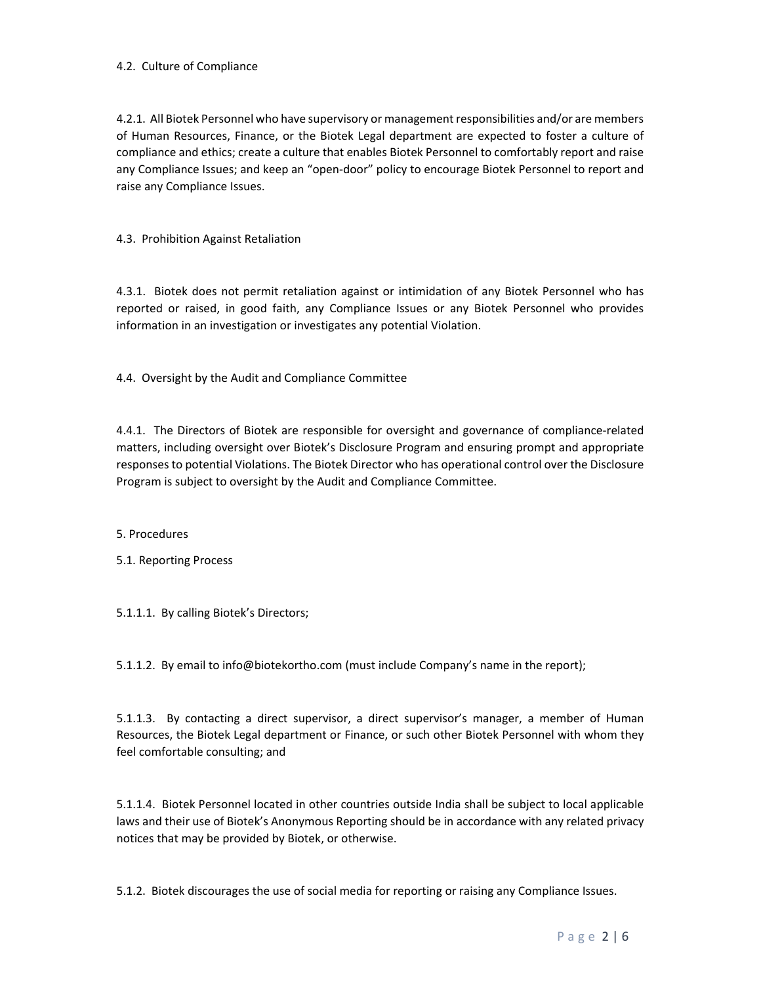### 4.2. Culture of Compliance

4.2.1. All Biotek Personnel who have supervisory or management responsibilities and/or are members of Human Resources, Finance, or the Biotek Legal department are expected to foster a culture of compliance and ethics; create a culture that enables Biotek Personnel to comfortably report and raise any Compliance Issues; and keep an "open‐door" policy to encourage Biotek Personnel to report and raise any Compliance Issues.

4.3. Prohibition Against Retaliation

4.3.1. Biotek does not permit retaliation against or intimidation of any Biotek Personnel who has reported or raised, in good faith, any Compliance Issues or any Biotek Personnel who provides information in an investigation or investigates any potential Violation.

4.4. Oversight by the Audit and Compliance Committee

4.4.1. The Directors of Biotek are responsible for oversight and governance of compliance‐related matters, including oversight over Biotek's Disclosure Program and ensuring prompt and appropriate responses to potential Violations. The Biotek Director who has operational control over the Disclosure Program is subject to oversight by the Audit and Compliance Committee.

5. Procedures

5.1. Reporting Process

5.1.1.1. By calling Biotek's Directors;

5.1.1.2. By email to info@biotekortho.com (must include Company's name in the report);

5.1.1.3. By contacting a direct supervisor, a direct supervisor's manager, a member of Human Resources, the Biotek Legal department or Finance, or such other Biotek Personnel with whom they feel comfortable consulting; and

5.1.1.4. Biotek Personnel located in other countries outside India shall be subject to local applicable laws and their use of Biotek's Anonymous Reporting should be in accordance with any related privacy notices that may be provided by Biotek, or otherwise.

5.1.2. Biotek discourages the use of social media for reporting or raising any Compliance Issues.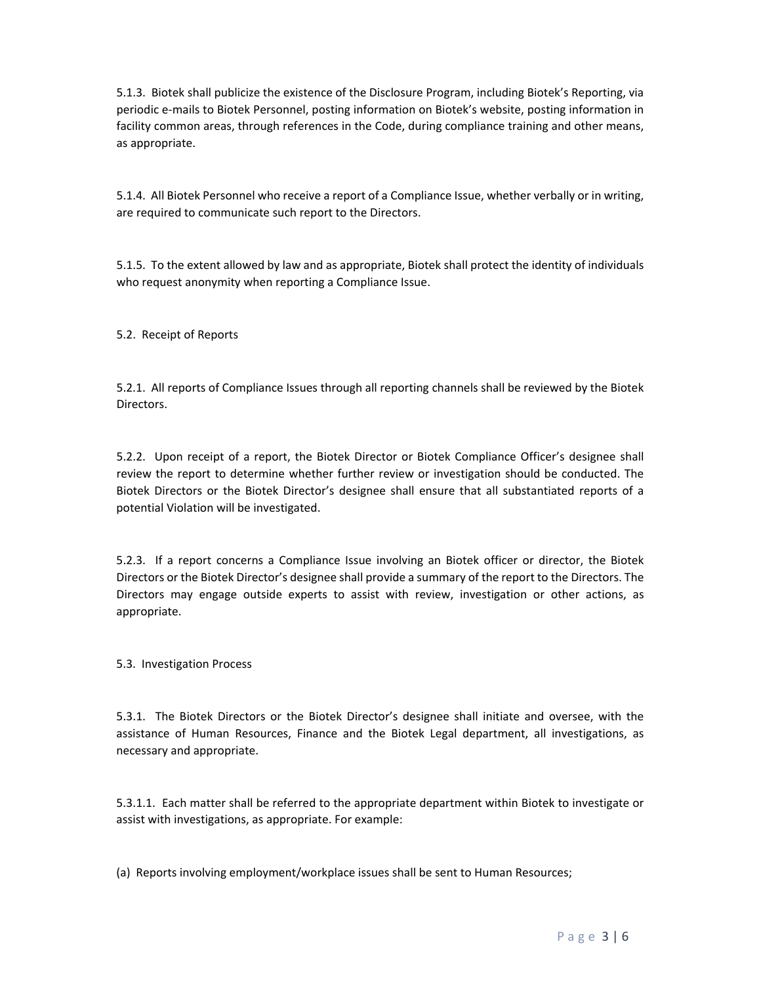5.1.3. Biotek shall publicize the existence of the Disclosure Program, including Biotek's Reporting, via periodic e-mails to Biotek Personnel, posting information on Biotek's website, posting information in facility common areas, through references in the Code, during compliance training and other means, as appropriate.

5.1.4. All Biotek Personnel who receive a report of a Compliance Issue, whether verbally or in writing, are required to communicate such report to the Directors.

5.1.5. To the extent allowed by law and as appropriate, Biotek shall protect the identity of individuals who request anonymity when reporting a Compliance Issue.

5.2. Receipt of Reports

5.2.1. All reports of Compliance Issues through all reporting channels shall be reviewed by the Biotek Directors.

5.2.2. Upon receipt of a report, the Biotek Director or Biotek Compliance Officer's designee shall review the report to determine whether further review or investigation should be conducted. The Biotek Directors or the Biotek Director's designee shall ensure that all substantiated reports of a potential Violation will be investigated.

5.2.3. If a report concerns a Compliance Issue involving an Biotek officer or director, the Biotek Directors or the Biotek Director's designee shall provide a summary of the report to the Directors. The Directors may engage outside experts to assist with review, investigation or other actions, as appropriate.

5.3. Investigation Process

5.3.1. The Biotek Directors or the Biotek Director's designee shall initiate and oversee, with the assistance of Human Resources, Finance and the Biotek Legal department, all investigations, as necessary and appropriate.

5.3.1.1. Each matter shall be referred to the appropriate department within Biotek to investigate or assist with investigations, as appropriate. For example:

(a) Reports involving employment/workplace issues shall be sent to Human Resources;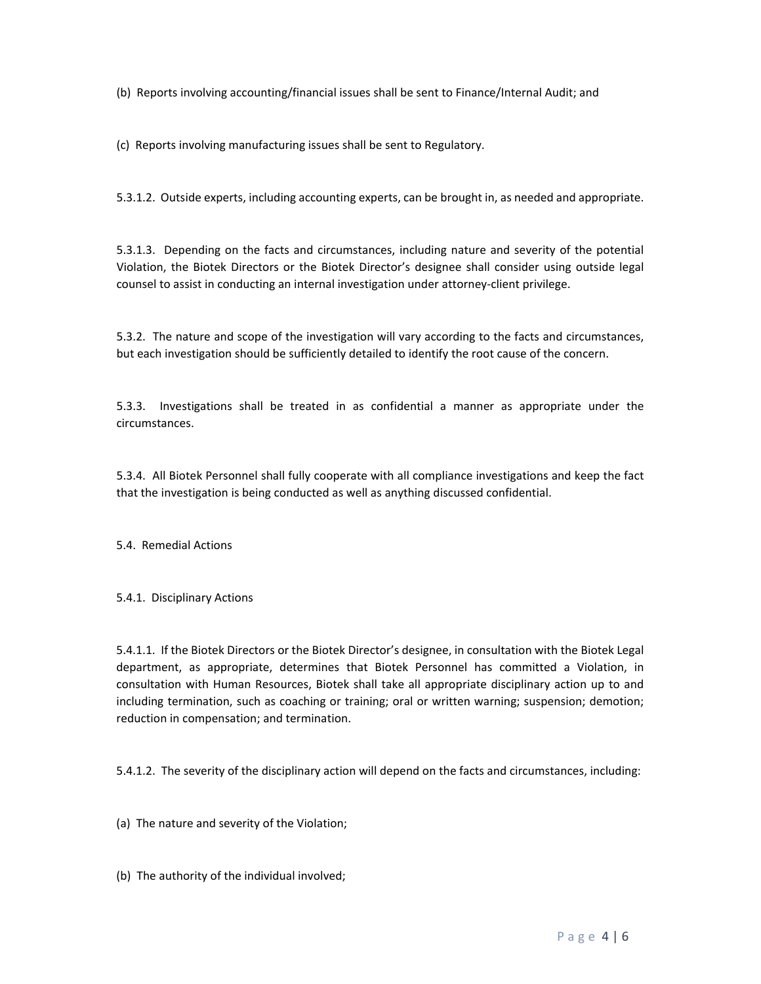(b) Reports involving accounting/financial issues shall be sent to Finance/Internal Audit; and

(c) Reports involving manufacturing issues shall be sent to Regulatory.

5.3.1.2. Outside experts, including accounting experts, can be brought in, as needed and appropriate.

5.3.1.3. Depending on the facts and circumstances, including nature and severity of the potential Violation, the Biotek Directors or the Biotek Director's designee shall consider using outside legal counsel to assist in conducting an internal investigation under attorney‐client privilege.

5.3.2. The nature and scope of the investigation will vary according to the facts and circumstances, but each investigation should be sufficiently detailed to identify the root cause of the concern.

5.3.3. Investigations shall be treated in as confidential a manner as appropriate under the circumstances.

5.3.4. All Biotek Personnel shall fully cooperate with all compliance investigations and keep the fact that the investigation is being conducted as well as anything discussed confidential.

5.4. Remedial Actions

5.4.1. Disciplinary Actions

5.4.1.1. If the Biotek Directors or the Biotek Director's designee, in consultation with the Biotek Legal department, as appropriate, determines that Biotek Personnel has committed a Violation, in consultation with Human Resources, Biotek shall take all appropriate disciplinary action up to and including termination, such as coaching or training; oral or written warning; suspension; demotion; reduction in compensation; and termination.

5.4.1.2. The severity of the disciplinary action will depend on the facts and circumstances, including:

(a) The nature and severity of the Violation;

(b) The authority of the individual involved;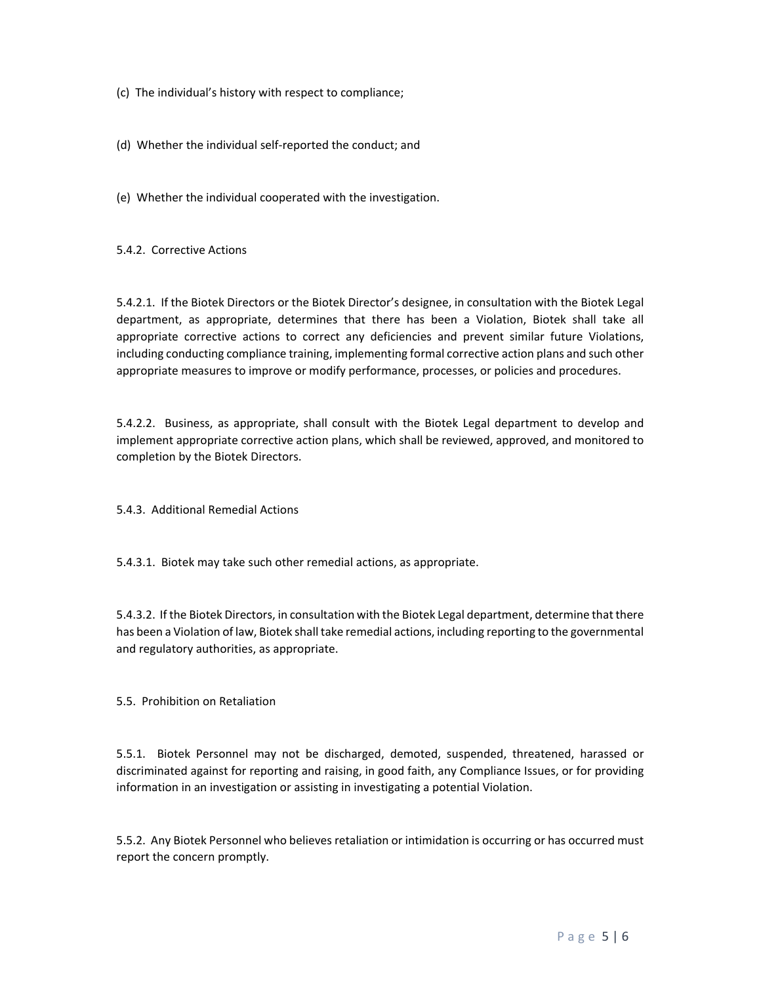(c) The individual's history with respect to compliance;

(d) Whether the individual self‐reported the conduct; and

(e) Whether the individual cooperated with the investigation.

5.4.2. Corrective Actions

5.4.2.1. If the Biotek Directors or the Biotek Director's designee, in consultation with the Biotek Legal department, as appropriate, determines that there has been a Violation, Biotek shall take all appropriate corrective actions to correct any deficiencies and prevent similar future Violations, including conducting compliance training, implementing formal corrective action plans and such other appropriate measures to improve or modify performance, processes, or policies and procedures.

5.4.2.2. Business, as appropriate, shall consult with the Biotek Legal department to develop and implement appropriate corrective action plans, which shall be reviewed, approved, and monitored to completion by the Biotek Directors.

5.4.3. Additional Remedial Actions

5.4.3.1. Biotek may take such other remedial actions, as appropriate.

5.4.3.2. If the Biotek Directors, in consultation with the Biotek Legal department, determine that there has been a Violation of law, Biotek shall take remedial actions, including reporting to the governmental and regulatory authorities, as appropriate.

5.5. Prohibition on Retaliation

5.5.1. Biotek Personnel may not be discharged, demoted, suspended, threatened, harassed or discriminated against for reporting and raising, in good faith, any Compliance Issues, or for providing information in an investigation or assisting in investigating a potential Violation.

5.5.2. Any Biotek Personnel who believes retaliation or intimidation is occurring or has occurred must report the concern promptly.